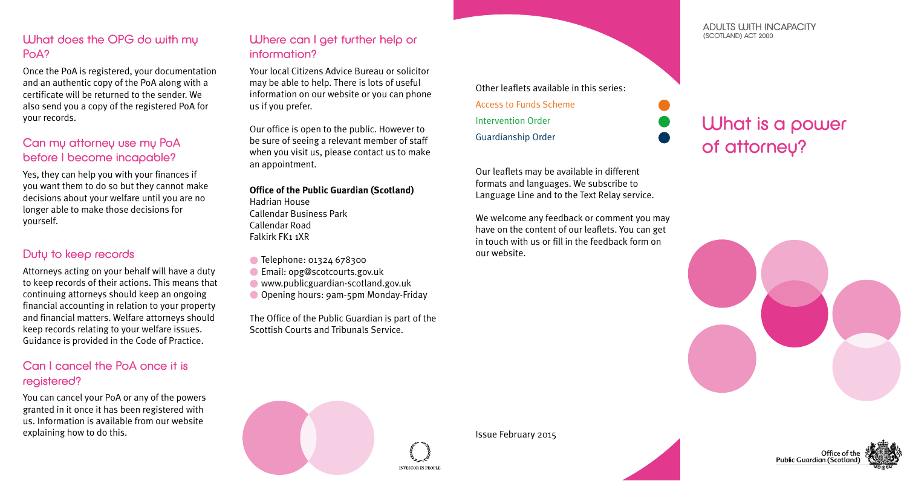## What does the OPG do with my PoA?

Once the PoA is registered, your documentation and an authentic copy of the PoA along with a certificate will be returned to the sender. We also send you a copy of the registered PoA for your records.

## Can mu attorney use mu PoA before I become incapable?

Yes, they can help you with your finances if you want them to do so but they cannot make decisions about your welfare until you are no longer able to make those decisions for yourself.

## Duty to keep records

Attorneys acting on your behalf will have a duty to keep records of their actions. This means that continuing attorneys should keep an ongoing financial accounting in relation to your property and financial matters. Welfare attorneys should keep records relating to your welfare issues. Guidance is provided in the Code of Practice.

# Can I cancel the PoA once it is registered?

You can cancel your PoA or any of the powers granted in it once it has been registered with us. Information is available from our website explaining how to do this.

# Where can I get further help or information?

Your local Citizens Advice Bureau or solicitor may be able to help. There is lots of useful information on our website or you can phone us if you prefer.

Our office is open to the public. However to be sure of seeing a relevant member of staff when you visit us, please contact us to make an appointment.

**Office of the Public Guardian (Scotland)** Hadrian House Callendar Business Park Callendar Road Falkirk FK1 1XR

- Telephone: 01324 678300
- Email: opg@scotcourts.gov.uk
- www.publicguardian-scotland.gov.uk
- O Opening hours: 9am-5pm Monday-Friday

The Office of the Public Guardian is part of the Scottish Courts and Tribunals Service.

Other leaflets available in this series: Access to Funds Scheme Intervention Order Guardianship Order

Our leaflets may be available in different formats and languages. We subscribe to Language Line and to the Text Relay service.

We welcome any feedback or comment you may have on the content of our leaflets. You can get in touch with us or fill in the feedback form on our website.

#### ADULTS WITH INCAPACITY (SCOTLAND) ACT 2000

What is a power of attorney?





**INVESTOR IN PEOPL** 

#### Issue February 2015